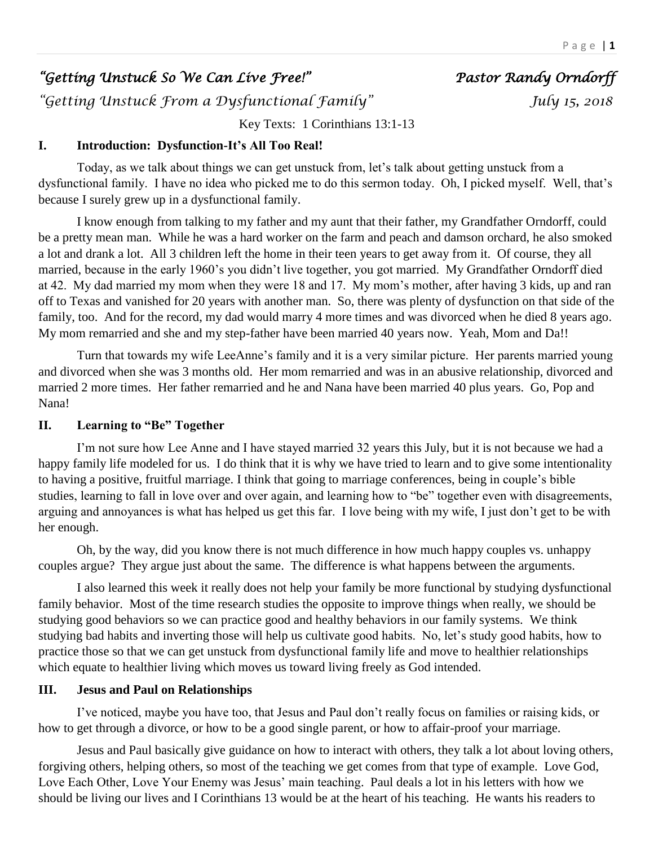# *"Getting Unstuck So We Can Live Free!" Pastor Randy Orndorff*

*"Getting Unstuck From a Dysfunctional Family" July 15, 2018* 

Key Texts: 1 Corinthians 13:1-13

#### **I. Introduction: Dysfunction-It's All Too Real!**

Today, as we talk about things we can get unstuck from, let's talk about getting unstuck from a dysfunctional family. I have no idea who picked me to do this sermon today. Oh, I picked myself. Well, that's because I surely grew up in a dysfunctional family.

I know enough from talking to my father and my aunt that their father, my Grandfather Orndorff, could be a pretty mean man. While he was a hard worker on the farm and peach and damson orchard, he also smoked a lot and drank a lot. All 3 children left the home in their teen years to get away from it. Of course, they all married, because in the early 1960's you didn't live together, you got married. My Grandfather Orndorff died at 42. My dad married my mom when they were 18 and 17. My mom's mother, after having 3 kids, up and ran off to Texas and vanished for 20 years with another man. So, there was plenty of dysfunction on that side of the family, too. And for the record, my dad would marry 4 more times and was divorced when he died 8 years ago. My mom remarried and she and my step-father have been married 40 years now. Yeah, Mom and Da!!

Turn that towards my wife LeeAnne's family and it is a very similar picture. Her parents married young and divorced when she was 3 months old. Her mom remarried and was in an abusive relationship, divorced and married 2 more times. Her father remarried and he and Nana have been married 40 plus years. Go, Pop and Nana!

### **II. Learning to "Be" Together**

I'm not sure how Lee Anne and I have stayed married 32 years this July, but it is not because we had a happy family life modeled for us. I do think that it is why we have tried to learn and to give some intentionality to having a positive, fruitful marriage. I think that going to marriage conferences, being in couple's bible studies, learning to fall in love over and over again, and learning how to "be" together even with disagreements, arguing and annoyances is what has helped us get this far. I love being with my wife, I just don't get to be with her enough.

Oh, by the way, did you know there is not much difference in how much happy couples vs. unhappy couples argue? They argue just about the same. The difference is what happens between the arguments.

I also learned this week it really does not help your family be more functional by studying dysfunctional family behavior. Most of the time research studies the opposite to improve things when really, we should be studying good behaviors so we can practice good and healthy behaviors in our family systems. We think studying bad habits and inverting those will help us cultivate good habits. No, let's study good habits, how to practice those so that we can get unstuck from dysfunctional family life and move to healthier relationships which equate to healthier living which moves us toward living freely as God intended.

#### **III. Jesus and Paul on Relationships**

I've noticed, maybe you have too, that Jesus and Paul don't really focus on families or raising kids, or how to get through a divorce, or how to be a good single parent, or how to affair-proof your marriage.

Jesus and Paul basically give guidance on how to interact with others, they talk a lot about loving others, forgiving others, helping others, so most of the teaching we get comes from that type of example. Love God, Love Each Other, Love Your Enemy was Jesus' main teaching. Paul deals a lot in his letters with how we should be living our lives and I Corinthians 13 would be at the heart of his teaching. He wants his readers to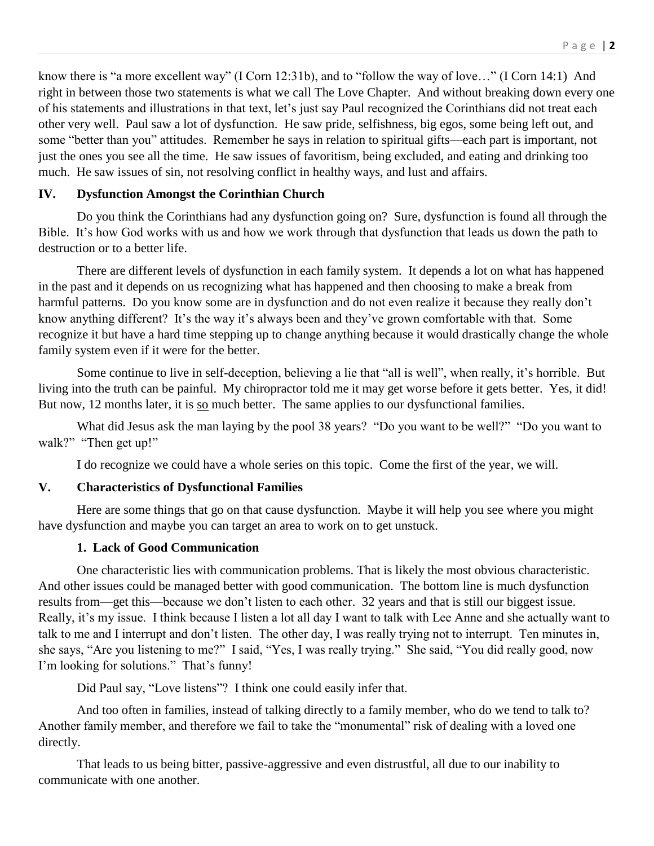know there is "a more excellent way" (I Corn 12:31b), and to "follow the way of love…" (I Corn 14:1) And right in between those two statements is what we call The Love Chapter. And without breaking down every one of his statements and illustrations in that text, let's just say Paul recognized the Corinthians did not treat each other very well. Paul saw a lot of dysfunction. He saw pride, selfishness, big egos, some being left out, and some "better than you" attitudes. Remember he says in relation to spiritual gifts—each part is important, not just the ones you see all the time. He saw issues of favoritism, being excluded, and eating and drinking too much. He saw issues of sin, not resolving conflict in healthy ways, and lust and affairs.

#### **IV. Dysfunction Amongst the Corinthian Church**

Do you think the Corinthians had any dysfunction going on? Sure, dysfunction is found all through the Bible. It's how God works with us and how we work through that dysfunction that leads us down the path to destruction or to a better life.

There are different levels of dysfunction in each family system. It depends a lot on what has happened in the past and it depends on us recognizing what has happened and then choosing to make a break from harmful patterns. Do you know some are in dysfunction and do not even realize it because they really don't know anything different? It's the way it's always been and they've grown comfortable with that. Some recognize it but have a hard time stepping up to change anything because it would drastically change the whole family system even if it were for the better.

Some continue to live in self-deception, believing a lie that "all is well", when really, it's horrible. But living into the truth can be painful. My chiropractor told me it may get worse before it gets better. Yes, it did! But now, 12 months later, it is so much better. The same applies to our dysfunctional families.

What did Jesus ask the man laying by the pool 38 years? "Do you want to be well?" "Do you want to walk?" "Then get up!"

I do recognize we could have a whole series on this topic. Come the first of the year, we will.

#### **V. Characteristics of Dysfunctional Families**

Here are some things that go on that cause dysfunction. Maybe it will help you see where you might have dysfunction and maybe you can target an area to work on to get unstuck.

#### **1. Lack of Good Communication**

One characteristic lies with communication problems. That is likely the most obvious characteristic. And other issues could be managed better with good communication. The bottom line is much dysfunction results from—get this—because we don't listen to each other. 32 years and that is still our biggest issue. Really, it's my issue. I think because I listen a lot all day I want to talk with Lee Anne and she actually want to talk to me and I interrupt and don't listen. The other day, I was really trying not to interrupt. Ten minutes in, she says, "Are you listening to me?" I said, "Yes, I was really trying." She said, "You did really good, now I'm looking for solutions." That's funny!

Did Paul say, "Love listens"? I think one could easily infer that.

And too often in families, instead of talking directly to a family member, who do we tend to talk to? Another family member, and therefore we fail to take the "monumental" risk of dealing with a loved one directly.

That leads to us being bitter, passive-aggressive and even distrustful, all due to our inability to communicate with one another.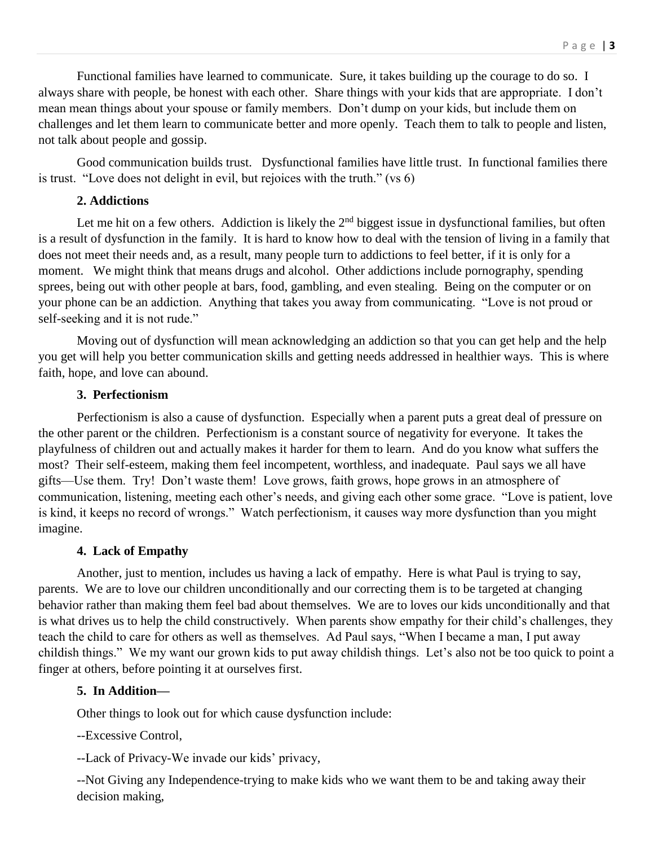Functional families have learned to communicate. Sure, it takes building up the courage to do so. I always share with people, be honest with each other. Share things with your kids that are appropriate. I don't mean mean things about your spouse or family members. Don't dump on your kids, but include them on challenges and let them learn to communicate better and more openly. Teach them to talk to people and listen, not talk about people and gossip.

Good communication builds trust. Dysfunctional families have little trust. In functional families there is trust. "Love does not delight in evil, but rejoices with the truth." (vs 6)

#### **2. Addictions**

Let me hit on a few others. Addiction is likely the  $2<sup>nd</sup>$  biggest issue in dysfunctional families, but often is a result of dysfunction in the family. It is hard to know how to deal with the tension of living in a family that does not meet their needs and, as a result, many people turn to addictions to feel better, if it is only for a moment. We might think that means drugs and alcohol. Other addictions include pornography, spending sprees, being out with other people at bars, food, gambling, and even stealing. Being on the computer or on your phone can be an addiction. Anything that takes you away from communicating. "Love is not proud or self-seeking and it is not rude."

Moving out of dysfunction will mean acknowledging an addiction so that you can get help and the help you get will help you better communication skills and getting needs addressed in healthier ways. This is where faith, hope, and love can abound.

#### **3. Perfectionism**

Perfectionism is also a cause of dysfunction. Especially when a parent puts a great deal of pressure on the other parent or the children. Perfectionism is a constant source of negativity for everyone. It takes the playfulness of children out and actually makes it harder for them to learn. And do you know what suffers the most? Their self-esteem, making them feel incompetent, worthless, and inadequate. Paul says we all have gifts—Use them. Try! Don't waste them! Love grows, faith grows, hope grows in an atmosphere of communication, listening, meeting each other's needs, and giving each other some grace. "Love is patient, love is kind, it keeps no record of wrongs." Watch perfectionism, it causes way more dysfunction than you might imagine.

#### **4. Lack of Empathy**

Another, just to mention, includes us having a lack of empathy. Here is what Paul is trying to say, parents. We are to love our children unconditionally and our correcting them is to be targeted at changing behavior rather than making them feel bad about themselves. We are to loves our kids unconditionally and that is what drives us to help the child constructively. When parents show empathy for their child's challenges, they teach the child to care for others as well as themselves. Ad Paul says, "When I became a man, I put away childish things." We my want our grown kids to put away childish things. Let's also not be too quick to point a finger at others, before pointing it at ourselves first.

## **5. In Addition—**

Other things to look out for which cause dysfunction include:

--Excessive Control,

--Lack of Privacy-We invade our kids' privacy,

--Not Giving any Independence-trying to make kids who we want them to be and taking away their decision making,